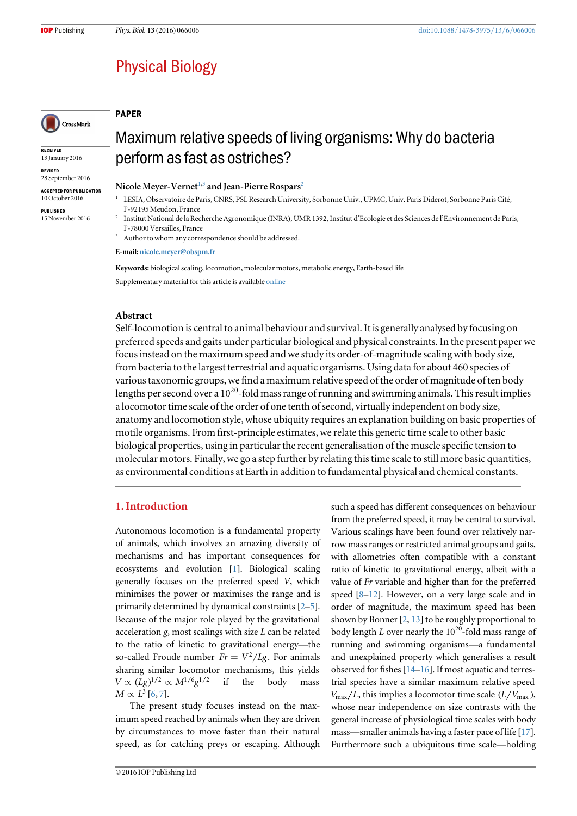# **Physical Biology**

## PAPER

**RECEIVED** 13 January 2016

REVISED 28 September 2016

CrossMark

ACCEPTED FOR PUBLICATION 10 October 2016

PUBLISHED 15 November 2016

# Maximum relative speeds of living organisms: Why do bacteria perform as fast as ostriches?

Nicole Meyer-Vernet<sup>[1](#page-0-0)[,3](#page-0-1)</sup> and Jean-Pierre Rospars<sup>[2](#page-0-2)</sup>

- <span id="page-0-0"></span><sup>1</sup> LESIA, Observatoire de Paris, CNRS, PSL Research University, Sorbonne Univ., UPMC, Univ. Paris Diderot, Sorbonne Paris Cité, F-92195 Meudon, France
- <span id="page-0-2"></span><sup>2</sup> Institut National de la Recherche Agronomique (INRA), UMR 1392, Institut d'Ecologie et des Sciences de l'Environnement de Paris, F-78000 Versailles, France

<span id="page-0-1"></span><sup>3</sup> Author to whom any correspondence should be addressed.

E-mail: [nicole.meyer@obspm.fr](mailto:nicole.meyer@obspm.fr)

Keywords: biological scaling, locomotion, molecular motors, metabolic energy, Earth-based life Supplementary material for this article is available [online](http://dx.doi.org/10.1088/1478-3975/13/6/066006)

# Abstract

Self-locomotion is central to animal behaviour and survival. It is generally analysed by focusing on preferred speeds and gaits under particular biological and physical constraints. In the present paper we focus instead on the maximum speed and we study its order-of-magnitude scaling with body size, from bacteria to the largest terrestrial and aquatic organisms. Using data for about 460 species of various taxonomic groups, we find a maximum relative speed of the order of magnitude of ten body lengths per second over a  $10^{20}$ -fold mass range of running and swimming animals. This result implies a locomotor time scale of the order of one tenth of second, virtually independent on body size, anatomy and locomotion style, whose ubiquity requires an explanation building on basic properties of motile organisms. From first-principle estimates, we relate this generic time scale to other basic biological properties, using in particular the recent generalisation of the muscle specific tension to molecular motors. Finally, we go a step further by relating this time scale to still more basic quantities, as environmental conditions at Earth in addition to fundamental physical and chemical constants.

# 1. Introduction

Autonomous locomotion is a fundamental property of animals, which involves an amazing diversity of mechanisms and has important consequences for ecosystems and evolution [[1](#page-9-0)]. Biological scaling generally focuses on the preferred speed V, which minimises the power or maximises the range and is primarily determined by dynamical constraints [[2](#page-9-1)–[5](#page-9-2)]. Because of the major role played by the gravitational acceleration g, most scalings with size L can be related to the ratio of kinetic to gravitational energy—the so-called Froude number  $Fr = V^2/Lg$ . For animals sharing similar locomotor mechanisms, this yields  $V \propto (Lg)^{1/2} \propto M^{1/6}g^{1/2}$  if the body mass  $M \propto L^3$  [[6](#page-9-3), [7](#page-9-4)].

The present study focuses instead on the maximum speed reached by animals when they are driven by circumstances to move faster than their natural speed, as for catching preys or escaping. Although such a speed has different consequences on behaviour from the preferred speed, it may be central to survival. Various scalings have been found over relatively narrow mass ranges or restricted animal groups and gaits, with allometries often compatible with a constant ratio of kinetic to gravitational energy, albeit with a value of Fr variable and higher than for the preferred speed [[8](#page-9-5)–[12](#page-9-6)]. However, on a very large scale and in order of magnitude, the maximum speed has been shown by Bonner [[2](#page-9-1), [13](#page-9-7)] to be roughly proportional to body length  $L$  over nearly the 10<sup>20</sup>-fold mass range of running and swimming organisms—a fundamental and unexplained property which generalises a result observed for fishes [[14](#page-9-8)–[16](#page-9-9)]. If most aquatic and terrestrial species have a similar maximum relative speed  $V_{\text{max}}/L$ , this implies a locomotor time scale  $(L/V_{\text{max}})$ , whose near independence on size contrasts with the general increase of physiological time scales with body mass—smaller animals having a faster pace of life [[17](#page-9-10)]. Furthermore such a ubiquitous time scale—holding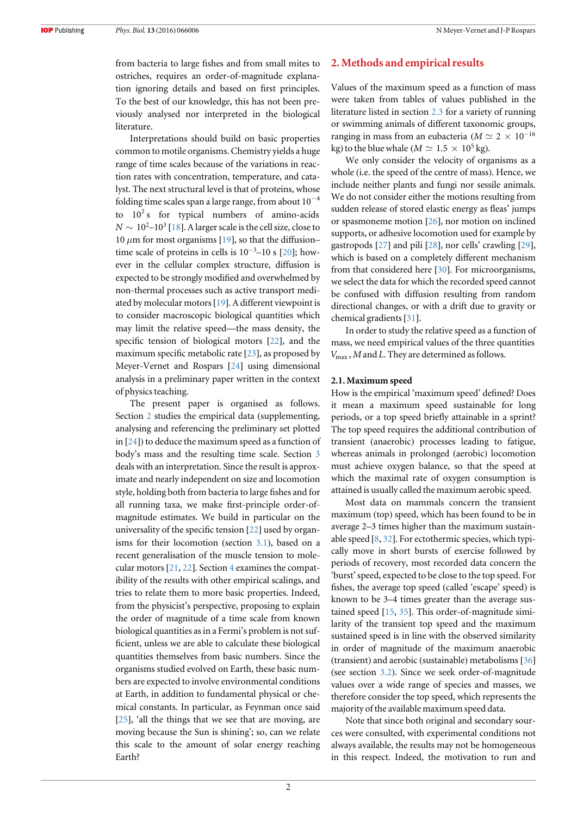from bacteria to large fishes and from small mites to ostriches, requires an order-of-magnitude explanation ignoring details and based on first principles. To the best of our knowledge, this has not been previously analysed nor interpreted in the biological literature.

Interpretations should build on basic properties common to motile organisms. Chemistry yields a huge range of time scales because of the variations in reaction rates with concentration, temperature, and catalyst. The next structural level is that of proteins, whose folding time scales span a large range, from about  $10^{-4}$ to  $10^2$  s for typical numbers of amino-acids  $N\sim 10^2\text{--}10^3$  [[18](#page-9-11)]. A larger scale is the cell size, close to 10  $\mu$ m for most organisms [[19](#page-9-12)], so that the diffusion– time scale of proteins in cells is  $10^{-3}$ –10 s [[20](#page-9-13)]; however in the cellular complex structure, diffusion is expected to be strongly modified and overwhelmed by non-thermal processes such as active transport mediated by molecular motors[[19](#page-9-12)]. A different viewpoint is to consider macroscopic biological quantities which may limit the relative speed—the mass density, the specific tension of biological motors [[22](#page-9-14)], and the maximum specific metabolic rate [[23](#page-9-15)], as proposed by Meyer-Vernet and Rospars [[24](#page-9-16)] using dimensional analysis in a preliminary paper written in the context of physics teaching.

The present paper is organised as follows. Section [2](#page-1-0) studies the empirical data (supplementing, analysing and referencing the preliminary set plotted in [[24](#page-9-16)]) to deduce the maximum speed as a function of body's mass and the resulting time scale. Section [3](#page-3-0) deals with an interpretation. Since the result is approximate and nearly independent on size and locomotion style, holding both from bacteria to large fishes and for all running taxa, we make first-principle order-ofmagnitude estimates. We build in particular on the universality of the specific tension [[22](#page-9-14)] used by organisms for their locomotion (section [3.1](#page-4-0)), based on a recent generalisation of the muscle tension to molecular motors [[21](#page-9-17), [22](#page-9-14)]. Section [4](#page-6-0) examines the compatibility of the results with other empirical scalings, and tries to relate them to more basic properties. Indeed, from the physicist's perspective, proposing to explain the order of magnitude of a time scale from known biological quantities as in a Fermi's problem is not sufficient, unless we are able to calculate these biological quantities themselves from basic numbers. Since the organisms studied evolved on Earth, these basic numbers are expected to involve environmental conditions at Earth, in addition to fundamental physical or chemical constants. In particular, as Feynman once said [[25](#page-9-18)], 'all the things that we see that are moving, are moving because the Sun is shining'; so, can we relate this scale to the amount of solar energy reaching Earth?

# <span id="page-1-0"></span>2. Methods and empirical results

Values of the maximum speed as a function of mass were taken from tables of values published in the literature listed in section [2.3](#page-3-1) for a variety of running or swimming animals of different taxonomic groups, ranging in mass from an eubacteria ( $M \simeq 2 \times 10^{-16}$ kg) to the blue whale ( $M \simeq 1.5 \times 10^5$  kg).

We only consider the velocity of organisms as a whole (i.e. the speed of the centre of mass). Hence, we include neither plants and fungi nor sessile animals. We do not consider either the motions resulting from sudden release of stored elastic energy as fleas' jumps or spasmoneme motion [[26](#page-9-19)], nor motion on inclined supports, or adhesive locomotion used for example by gastropods [[27](#page-9-20)] and pili [[28](#page-9-21)], nor cells' crawling [[29](#page-9-22)], which is based on a completely different mechanism from that considered here [[30](#page-9-23)]. For microorganisms, we select the data for which the recorded speed cannot be confused with diffusion resulting from random directional changes, or with a drift due to gravity or chemical gradients[[31](#page-9-24)].

In order to study the relative speed as a function of mass, we need empirical values of the three quantities *V*max , M and L. They are determined as follows.

## <span id="page-1-1"></span>2.1. Maximum speed

How is the empirical 'maximum speed' defined? Does it mean a maximum speed sustainable for long periods, or a top speed briefly attainable in a sprint? The top speed requires the additional contribution of transient (anaerobic) processes leading to fatigue, whereas animals in prolonged (aerobic) locomotion must achieve oxygen balance, so that the speed at which the maximal rate of oxygen consumption is attained is usually called the maximum aerobic speed.

Most data on mammals concern the transient maximum (top) speed, which has been found to be in average 2–3 times higher than the maximum sustainable speed [[8](#page-9-5), [32](#page-9-25)]. For ectothermic species, which typically move in short bursts of exercise followed by periods of recovery, most recorded data concern the 'burst'speed, expected to be close to the top speed. For fishes, the average top speed (called 'escape' speed) is known to be 3–4 times greater than the average sustained speed [[15,](#page-9-26) [35](#page-9-27)]. This order-of-magnitude similarity of the transient top speed and the maximum sustained speed is in line with the observed similarity in order of magnitude of the maximum anaerobic (transient) and aerobic (sustainable) metabolisms [[36](#page-9-28)] (see section [3.2](#page-5-0)). Since we seek order-of-magnitude values over a wide range of species and masses, we therefore consider the top speed, which represents the majority of the available maximum speed data.

Note that since both original and secondary sources were consulted, with experimental conditions not always available, the results may not be homogeneous in this respect. Indeed, the motivation to run and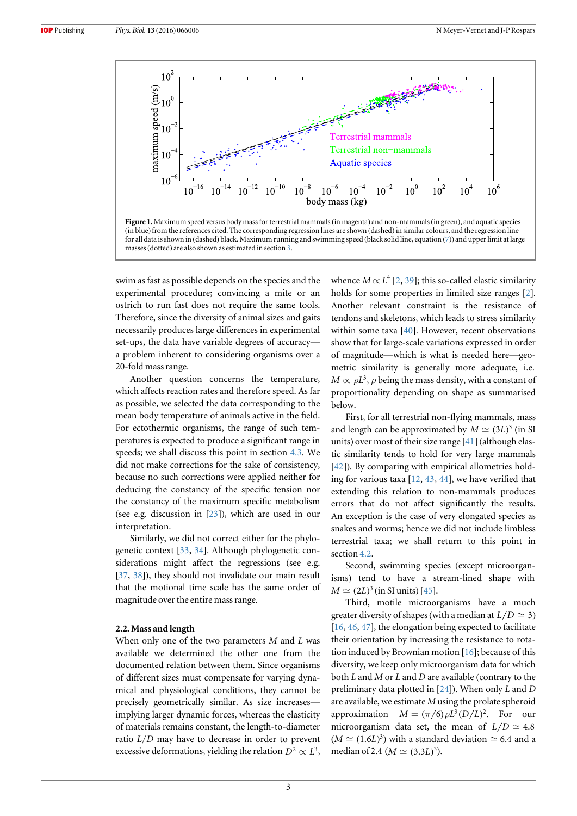<span id="page-2-0"></span>

swim as fast as possible depends on the species and the experimental procedure; convincing a mite or an ostrich to run fast does not require the same tools. Therefore, since the diversity of animal sizes and gaits necessarily produces large differences in experimental set-ups, the data have variable degrees of accuracy a problem inherent to considering organisms over a 20-fold mass range.

Another question concerns the temperature, which affects reaction rates and therefore speed. As far as possible, we selected the data corresponding to the mean body temperature of animals active in the field. For ectothermic organisms, the range of such temperatures is expected to produce a significant range in speeds; we shall discuss this point in section [4.3](#page-7-0). We did not make corrections for the sake of consistency, because no such corrections were applied neither for deducing the constancy of the specific tension nor the constancy of the maximum specific metabolism (see e.g. discussion in [[23](#page-9-15)]), which are used in our interpretation.

Similarly, we did not correct either for the phylogenetic context [[33](#page-9-29), [34](#page-9-30)]. Although phylogenetic considerations might affect the regressions (see e.g. [[37,](#page-9-31) [38](#page-9-32)]), they should not invalidate our main result that the motional time scale has the same order of magnitude over the entire mass range.

# 2.2. Mass and length

When only one of the two parameters  $M$  and  $L$  was available we determined the other one from the documented relation between them. Since organisms of different sizes must compensate for varying dynamical and physiological conditions, they cannot be precisely geometrically similar. As size increases implying larger dynamic forces, whereas the elasticity of materials remains constant, the length-to-diameter ratio L/D may have to decrease in order to prevent excessive deformations, yielding the relation  $D^2 \propto L^3$ , whence  $M \propto L^4$  [[2](#page-9-1), [39](#page-9-33)]; this so-called elastic similarity holds for some properties in limited size ranges [[2](#page-9-1)]. Another relevant constraint is the resistance of tendons and skeletons, which leads to stress similarity within some taxa [[40](#page-9-34)]. However, recent observations show that for large-scale variations expressed in order of magnitude—which is what is needed here—geometric similarity is generally more adequate, i.e.  $M \propto \rho L^3$ ,  $\rho$  being the mass density, with a constant of proportionality depending on shape as summarised below.

First, for all terrestrial non-flying mammals, mass and length can be approximated by  $M \simeq (3L)^3$  (in SI units) over most of their size range [[41](#page-9-35)] (although elastic similarity tends to hold for very large mammals [[42](#page-9-36)]). By comparing with empirical allometries holding for various taxa [[12,](#page-9-6) [43](#page-9-37), [44](#page-9-38)], we have verified that extending this relation to non-mammals produces errors that do not affect significantly the results. An exception is the case of very elongated species as snakes and worms; hence we did not include limbless terrestrial taxa; we shall return to this point in section [4.2](#page-7-1).

Second, swimming species (except microorganisms) tend to have a stream-lined shape with  $M \simeq (2L)^3$  (in SI units) [[45](#page-9-39)].

Third, motile microorganisms have a much greater diversity of shapes (with a median at  $L/D \simeq 3$ ) [[16](#page-9-9), [46](#page-9-40), [47](#page-9-41)], the elongation being expected to facilitate their orientation by increasing the resistance to rotation induced by Brownian motion [[16](#page-9-9)]; because of this diversity, we keep only microorganism data for which both  $L$  and  $M$  or  $L$  and  $D$  are available (contrary to the preliminary data plotted in [[24](#page-9-16)]). When only L and D are available, we estimate M using the prolate spheroid approximation  $M = (\pi/6) \rho L^3 (D/L)^2$ . For our microorganism data set, the mean of  $L/D \simeq 4.8$  $(M \simeq (1.6L)^3)$  with a standard deviation  $\simeq 6.4$  and a median of 2.4 ( $M \simeq (3.3L)^3$ ).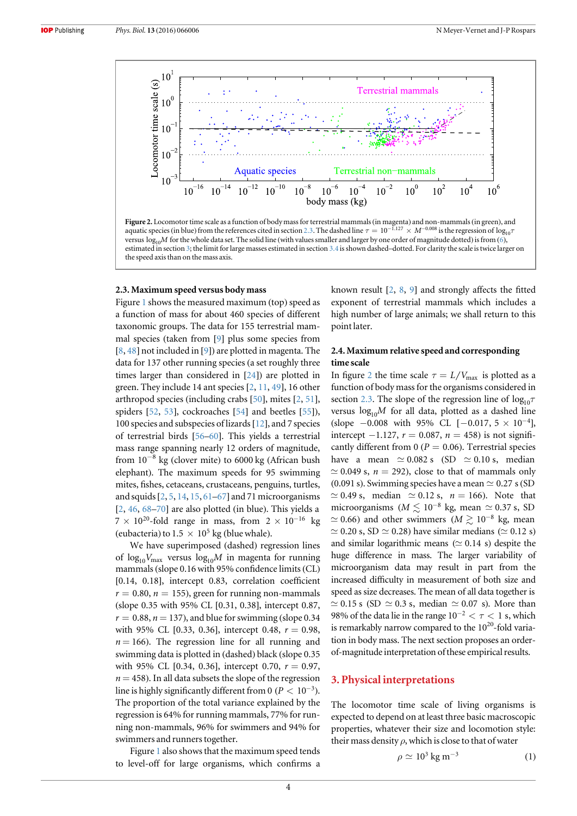<span id="page-3-2"></span>

Figure 2. Locomotor time scale as a function of body mass for terrestrial mammals (in magenta) and non-mammals (in green), and aquatic species (in blue) from the references cited in section [2.3](#page-3-1). The dashed line  $\tau = 10^{-1.127} \times M^{-0.008}$  is the regression of  $\log_{10} \tau$ versus  $\log_{10}M$  for the whole data set. The solid line (with values smaller and larger by one order of magnitude dotted) is from ([6](#page-5-1)), estimated in section [3;](#page-3-0) the limit for large masses estimated in section [3.4](#page-6-2) is shown dashed–dotted. For clarity the scale is twice larger on the speed axis than on the mass axis.

## <span id="page-3-1"></span>2.3. Maximum speed versus body mass

Figure [1](#page-2-0) shows the measured maximum (top) speed as a function of mass for about 460 species of different taxonomic groups. The data for 155 terrestrial mammal species (taken from [[9](#page-9-42)] plus some species from [[8](#page-9-5), [48](#page-10-0)] not included in [[9](#page-9-42)]) are plotted in magenta. The data for 137 other running species (a set roughly three times larger than considered in [[24](#page-9-16)]) are plotted in green. They include 14 ant species [[2](#page-9-1), [11,](#page-9-43) [49](#page-10-1)], 16 other arthropod species (including crabs [[50](#page-10-2)], mites [[2](#page-9-1), [51](#page-10-3)], spiders [[52](#page-10-4), [53](#page-10-5)], cockroaches [[54](#page-10-6)] and beetles [[55](#page-10-7)]), 100 species and subspecies of lizards[[12](#page-9-6)], and 7 species of terrestrial birds [[56](#page-10-8)–[60](#page-10-9)]. This yields a terrestrial mass range spanning nearly 12 orders of magnitude, from  $10^{-8}$  kg (clover mite) to 6000 kg (African bush elephant). The maximum speeds for 95 swimming mites, fishes, cetaceans, crustaceans, penguins, turtles, and squids[[2](#page-9-1), [5,](#page-9-2) [14](#page-9-8), [15,](#page-9-26) [61](#page-10-10)–[67](#page-10-11)] and 71 microorganisms [[2](#page-9-1), [46,](#page-9-40) [68](#page-10-12)–[70](#page-10-13)] are also plotted (in blue). This yields a  $7 \times 10^{20}$ -fold range in mass, from  $2 \times 10^{-16}$  kg (eubacteria) to  $1.5 \times 10^5$  kg (blue whale).

We have superimposed (dashed) regression lines of  $log_{10}V_{\text{max}}$  versus  $log_{10}M$  in magenta for running mammals (slope 0.16 with 95% confidence limits (CL) [0.14, 0.18], intercept 0.83, correlation coefficient  $r = 0.80$ ,  $n = 155$ ), green for running non-mammals (slope 0.35 with 95% CL [0.31, 0.38], intercept 0.87,  $r = 0.88$ ,  $n = 137$ ), and blue for swimming (slope 0.34) with 95% CL [0.33, 0.36], intercept 0.48,  $r = 0.98$ ,  $n = 166$ ). The regression line for all running and swimming data is plotted in (dashed) black (slope 0.35 with 95% CL [0.34, 0.36], intercept 0.70,  $r = 0.97$ ,  $n = 458$ ). In all data subsets the slope of the regression line is highly significantly different from 0 ( $P < 10^{-3}$ ). The proportion of the total variance explained by the regression is 64% for running mammals, 77% for running non-mammals, 96% for swimmers and 94% for swimmers and runners together.

Figure [1](#page-2-0) also shows that the maximum speed tends to level-off for large organisms, which confirms a known result [[2](#page-9-1), [8,](#page-9-5) [9](#page-9-42)] and strongly affects the fitted exponent of terrestrial mammals which includes a high number of large animals; we shall return to this point later.

# 2.4. Maximum relative speed and corresponding time scale

In figure [2](#page-3-2) the time scale  $\tau = L/V_{\text{max}}$  is plotted as a function of body mass for the organisms considered in section [2.3](#page-3-1). The slope of the regression line of  $\log_{10} \tau$ versus  $log_{10}M$  for all data, plotted as a dashed line (slope  $-0.008$  with 95% CL  $[-0.017, 5 \times 10^{-4}]$ , intercept −1.127,  $r = 0.087$ ,  $n = 458$ ) is not significantly different from 0 ( $P = 0.06$ ). Terrestrial species have a mean  $\simeq 0.082$  s (SD  $\simeq 0.10$  s, median  $\simeq$  0.049 s,  $n = 292$ ), close to that of mammals only (0.091 s). Swimming species have a mean  $\simeq$  0.27 s (SD  $\simeq$  0.49 s, median  $\simeq$  0.12 s,  $n = 166$ ). Note that microorganisms ( $M \lesssim 10^{-8}$  kg, mean  $\simeq 0.37$  s, SD  $\approx$  0.66) and other swimmers ( $M \gtrsim 10^{-8}$  kg, mean  $\simeq$  0.20 s, SD  $\simeq$  0.28) have similar medians ( $\simeq$  0.12 s) and similar logarithmic means ( $\simeq$  0.14 s) despite the huge difference in mass. The larger variability of microorganism data may result in part from the increased difficulty in measurement of both size and speed as size decreases. The mean of all data together is  $\simeq$  0.15 s (SD  $\simeq$  0.3 s, median  $\simeq$  0.07 s). More than 98% of the data lie in the range  $10^{-2} < \tau < 1$  s, which is remarkably narrow compared to the  $10^{20}$ -fold variation in body mass. The next section proposes an orderof-magnitude interpretation of these empirical results.

# <span id="page-3-0"></span>3. Physical interpretations

<span id="page-3-3"></span>The locomotor time scale of living organisms is expected to depend on at least three basic macroscopic properties, whatever their size and locomotion style: their mass density  $\rho$ , which is close to that of water

$$
\rho \simeq 10^3 \,\mathrm{kg} \,\mathrm{m}^{-3} \tag{1}
$$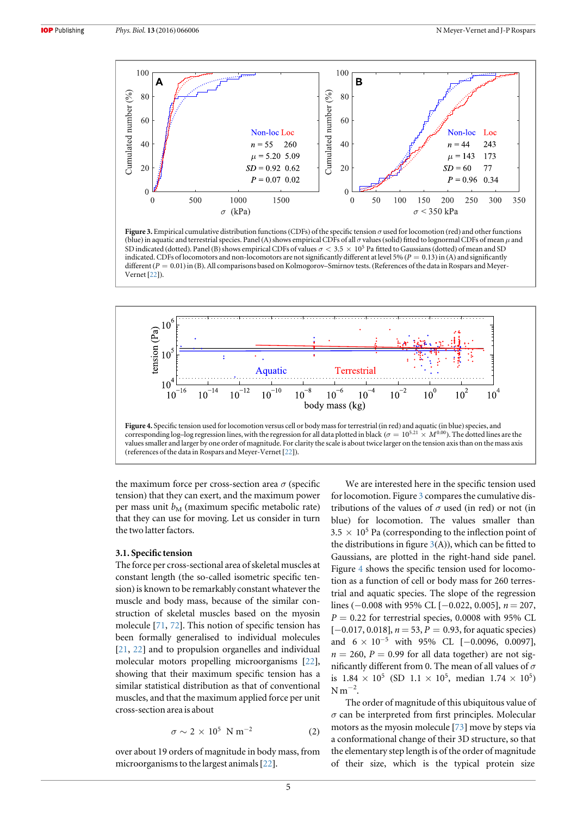<span id="page-4-1"></span>

Figure 3. Empirical cumulative distribution functions (CDFs) of the specific tension  $\sigma$  used for locomotion (red) and other functions (blue) in aquatic and terrestrial species. Panel (A) shows empirical CDFs of all  $\sigma$  values (solid) fitted to lognormal CDFs of mean  $\mu$  and SD indicated (dotted). Panel (B) shows empirical CDFs of values  $\sigma < 3.5 \times 10^5$  Pa fitted to Gaussians (dotted) of mean and SD indicated. CDFs of locomotors and non-locomotors are not significantly different at level 5% ( $P = 0.13$ ) in (A) and significantly different  $(P = 0.01)$  in (B). All comparisons based on Kolmogorov–Smirnov tests. (References of the data in Rospars and Meyer-Vernet [[22](#page-9-14)]).

<span id="page-4-2"></span>

the maximum force per cross-section area  $\sigma$  (specific tension) that they can exert, and the maximum power per mass unit  $b_M$  (maximum specific metabolic rate) that they can use for moving. Let us consider in turn the two latter factors.

## <span id="page-4-0"></span>3.1. Specific tension

The force per cross-sectional area of skeletal muscles at constant length (the so-called isometric specific tension) is known to be remarkably constant whatever the muscle and body mass, because of the similar construction of skeletal muscles based on the myosin molecule [[71,](#page-10-14) [72](#page-10-15)]. This notion of specific tension has been formally generalised to individual molecules [[21,](#page-9-17) [22](#page-9-14)] and to propulsion organelles and individual molecular motors propelling microorganisms [[22](#page-9-14)], showing that their maximum specific tension has a similar statistical distribution as that of conventional muscles, and that the maximum applied force per unit cross-section area is about

$$
\sigma \sim 2 \times 10^5 \text{ N m}^{-2} \tag{2}
$$

<span id="page-4-3"></span>over about 19 orders of magnitude in body mass, from microorganisms to the largest animals[[22](#page-9-14)].

We are interested here in the specific tension used for locomotion. Figure [3](#page-4-1) compares the cumulative distributions of the values of  $\sigma$  used (in red) or not (in blue) for locomotion. The values smaller than  $3.5 \times 10^5$  Pa (corresponding to the inflection point of the distributions in figure  $3(A)$  $3(A)$ ), which can be fitted to Gaussians, are plotted in the right-hand side panel. Figure [4](#page-4-2) shows the specific tension used for locomotion as a function of cell or body mass for 260 terrestrial and aquatic species. The slope of the regression lines ( $-0.008$  with 95% CL [ $-0.022$ , 0.005],  $n = 207$ ,  $P = 0.22$  for terrestrial species, 0.0008 with 95% CL  $[-0.017, 0.018], n = 53, P = 0.93$ , for aquatic species) and  $6 \times 10^{-5}$  with 95% CL [-0.0096, 0.0097],  $n = 260$ ,  $P = 0.99$  for all data together) are not significantly different from 0. The mean of all values of  $\sigma$ is  $1.84 \times 10^5$  (SD  $1.1 \times 10^5$ , median  $1.74 \times 10^5$ )  $N m^{-2}$ .

The order of magnitude of this ubiquitous value of  $\sigma$  can be interpreted from first principles. Molecular motors as the myosin molecule [[73](#page-10-16)] move by steps via a conformational change of their 3D structure, so that the elementary step length is of the order of magnitude of their size, which is the typical protein size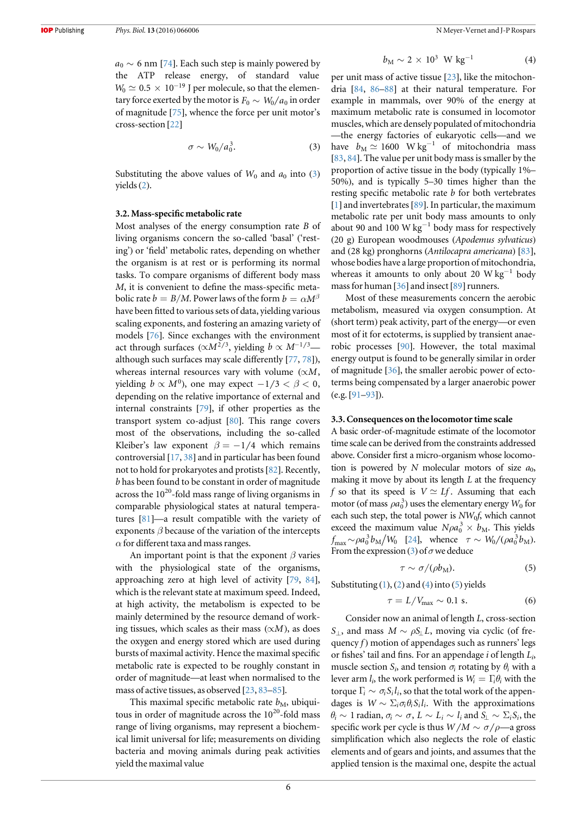$a_0 \sim 6$  nm [[74](#page-10-17)]. Each such step is mainly powered by the ATP release energy, of standard value  $W_0 \simeq 0.5 \times 10^{-19}$  J per molecule, so that the elementary force exerted by the motor is  $F_0 \sim W_0/a_0$  in order of magnitude [[75](#page-10-18)], whence the force per unit motor's cross-section [[22](#page-9-14)]

$$
\sigma \sim W_0/a_0^3. \tag{3}
$$

<span id="page-5-2"></span>Substituting the above values of  $W_0$  and  $a_0$  into ([3](#page-5-2)) yields([2](#page-4-3)).

#### <span id="page-5-0"></span>3.2. Mass-specific metabolic rate

Most analyses of the energy consumption rate B of living organisms concern the so-called 'basal' ('resting') or 'field' metabolic rates, depending on whether the organism is at rest or is performing its normal tasks. To compare organisms of different body mass M, it is convenient to define the mass-specific metabolic rate  $b = B/M$ . Power laws of the form  $b = \alpha M^{\beta}$ have been fitted to various sets of data, yielding various scaling exponents, and fostering an amazing variety of models [[76](#page-10-19)]. Since exchanges with the environment act through surfaces ( $\propto M^{2/3}$ , yielding  $b \propto M^{-1/3}$  although such surfaces may scale differently [[77](#page-10-20), [78](#page-10-21)]), whereas internal resources vary with volume  $(\propto M,$ yielding  $b \propto M^0$ ), one may expect  $-1/3 < \beta < 0$ , depending on the relative importance of external and internal constraints [[79](#page-10-22)], if other properties as the transport system co-adjust [[80](#page-10-23)]. This range covers most of the observations, including the so-called Kleiber's law exponent  $\beta = -1/4$  which remains controversial [[17](#page-9-10), [38](#page-9-32)] and in particular has been found not to hold for prokaryotes and protists [[82](#page-10-24)]. Recently, b has been found to be constant in order of magnitude across the  $10^{20}$ -fold mass range of living organisms in comparable physiological states at natural temperatures [[81](#page-10-25)]—a result compatible with the variety of exponents  $\beta$  because of the variation of the intercepts  $\alpha$  for different taxa and mass ranges.

An important point is that the exponent  $\beta$  varies with the physiological state of the organisms, approaching zero at high level of activity [[79](#page-10-22), [84](#page-10-26)], which is the relevant state at maximum speed. Indeed, at high activity, the metabolism is expected to be mainly determined by the resource demand of working tissues, which scales as their mass  $(\propto M)$ , as does the oxygen and energy stored which are used during bursts of maximal activity. Hence the maximal specific metabolic rate is expected to be roughly constant in order of magnitude—at least when normalised to the mass of active tissues, as observed [[23,](#page-9-15) [83](#page-10-27)–[85](#page-10-28)].

<span id="page-5-3"></span>This maximal specific metabolic rate  $b_M$ , ubiquitous in order of magnitude across the  $10^{20}$ -fold mass range of living organisms, may represent a biochemical limit universal for life; measurements on dividing bacteria and moving animals during peak activities yield the maximal value

$$
b_{\rm M} \sim 2 \times 10^3 \, \text{W kg}^{-1} \tag{4}
$$

per unit mass of active tissue [[23](#page-9-15)], like the mitochondria [[84,](#page-10-26) [86](#page-10-29)–[88](#page-10-30)] at their natural temperature. For example in mammals, over 90% of the energy at maximum metabolic rate is consumed in locomotor muscles, which are densely populated of mitochondria —the energy factories of eukaryotic cells—and we have  $b_M \simeq 1600 \text{ W kg}^{-1}$  of mitochondria mass [[83](#page-10-27), [84](#page-10-26)]. The value per unit body mass is smaller by the proportion of active tissue in the body (typically 1%– 50%), and is typically 5–30 times higher than the resting specific metabolic rate b for both vertebrates [[1](#page-9-0)] and invertebrates [[89](#page-10-31)]. In particular, the maximum metabolic rate per unit body mass amounts to only about 90 and 100 W kg<sup>-1</sup> body mass for respectively (20 g) European woodmouses (Apodemus sylvaticus) and (28 kg) pronghorns (Antilocapra americana) [[83](#page-10-27)], whose bodies have a large proportion of mitochondria, whereas it amounts to only about 20 W kg<sup>-1</sup> body mass for human  $[36]$  $[36]$  $[36]$  and insect  $[89]$  $[89]$  $[89]$  runners.

Most of these measurements concern the aerobic metabolism, measured via oxygen consumption. At (short term) peak activity, part of the energy—or even most of it for ectoterms, is supplied by transient anaerobic processes [[90](#page-10-32)]. However, the total maximal energy output is found to be generally similar in order of magnitude [[36](#page-9-28)], the smaller aerobic power of ectoterms being compensated by a larger anaerobic power (e.g. [[91](#page-10-33)–[93](#page-10-34)]).

## <span id="page-5-5"></span>3.3. Consequences on the locomotor time scale

A basic order-of-magnitude estimate of the locomotor time scale can be derived from the constraints addressed above. Consider first a micro-organism whose locomotion is powered by N molecular motors of size  $a_0$ , making it move by about its length  $L$  at the frequency f so that its speed is  $V \simeq Lf$ . Assuming that each motor (of mass  $\rho a_0^3$ ) uses the elementary energy  $W_0$  for each such step, the total power is  $NW_0f$ , which cannot exceed the maximum value  $N \rho a_0^3 \times b_M$ . This yields  $f_{\text{max}} \sim \rho a_0^3 b_M/W_0$  [[24](#page-9-16)], whence  $\tau \sim W_0/(\rho a_0^3 b_M)$ . From the expression ([3](#page-5-2)) of  $\sigma$  we deduce

$$
\tau \sim \sigma/(\rho b_{\rm M}).\tag{5}
$$

<span id="page-5-4"></span><span id="page-5-1"></span>Substituting  $(1)$  $(1)$  $(1)$ ,  $(2)$  $(2)$  $(2)$  and  $(4)$  $(4)$  $(4)$  into  $(5)$  $(5)$  $(5)$  yields

$$
\tau = L/V_{\text{max}} \sim 0.1 \text{ s.}
$$
 (6)

Consider now an animal of length L, cross-section S<sub>⊥</sub>, and mass  $M \sim \rho S_{\perp}L$ , moving via cyclic (of frequency  $f$ ) motion of appendages such as runners' legs or fishes' tail and fins. For an appendage i of length  $L_i$ , muscle section  $S_i$ , and tension  $\sigma_i$  rotating by  $\theta_i$  with a lever arm  $l_i$ , the work performed is  $W_i = \Gamma_i \theta_i$  with the torque  $\Gamma_i \sim \sigma_i S_i l_i$ , so that the total work of the appendages is  $W \sim \sum_i \sigma_i \theta_i S_i l_i$ . With the approximations  $\theta_i \sim 1$  radian,  $\sigma_i \sim \sigma$ ,  $L \sim L_i \sim l_i$  and  $S_i \sim \Sigma_i S_i$ , the specific work per cycle is thus  $W/M \sim \sigma/\rho$ —a gross simplification which also neglects the role of elastic elements and of gears and joints, and assumes that the applied tension is the maximal one, despite the actual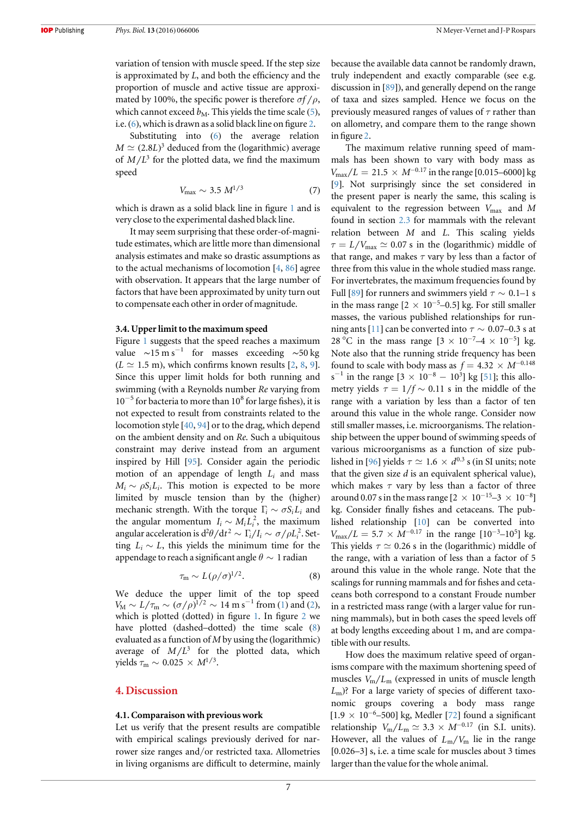variation of tension with muscle speed. If the step size is approximated by L, and both the efficiency and the proportion of muscle and active tissue are approximated by 100%, the specific power is therefore  $\sigma f / \rho$ , which cannot exceed  $b_M$ . This yields the time scale ([5](#page-5-4)), i.e.([6](#page-5-1)), which is drawn as a solid black line on figure [2](#page-3-2).

<span id="page-6-1"></span>Substituting into ([6](#page-5-1)) the average relation  $M \simeq (2.8L)^3$  deduced from the (logarithmic) average of  $M/L^3$  for the plotted data, we find the maximum speed

$$
V_{\text{max}} \sim 3.5 \ M^{1/3} \tag{7}
$$

which is drawn as a solid black line in figure [1](#page-2-0) and is very close to the experimental dashed black line.

It may seem surprising that these order-of-magnitude estimates, which are little more than dimensional analysis estimates and make so drastic assumptions as to the actual mechanisms of locomotion [[4,](#page-9-44) [86](#page-10-29)] agree with observation. It appears that the large number of factors that have been approximated by unity turn out to compensate each other in order of magnitude.

## <span id="page-6-2"></span>3.4. Upper limit to the maximum speed

Figure [1](#page-2-0) suggests that the speed reaches a maximum value  $\sim$ 15 m s<sup>-1</sup> for masses exceeding ~50 kg  $(L \simeq 1.5 \text{ m})$ , which confirms known results [[2,](#page-9-1) [8,](#page-9-5) [9](#page-9-42)]. Since this upper limit holds for both running and swimming (with a Reynolds number Re varying from  $10^{-5}$  for bacteria to more than  $10^8$  for large fishes), it is not expected to result from constraints related to the locomotion style [[40](#page-9-34), [94](#page-10-35)] or to the drag, which depend on the ambient density and on Re. Such a ubiquitous constraint may derive instead from an argument inspired by Hill [[95](#page-10-36)]. Consider again the periodic motion of an appendage of length  $L_i$  and mass  $M_i \sim \rho S_i L_i$ . This motion is expected to be more limited by muscle tension than by the (higher) mechanic strength. With the torque  $\Gamma_i \sim \sigma S_i L_i$  and the angular momentum  $I_i \sim M_i L_i^2$ , the maximum angular acceleration is  $d^2\theta/dt^2 \sim \Gamma_i/I_i \sim \sigma/\rho L_i^2$ . Setting  $L_i \sim L$ , this yields the minimum time for the appendage to reach a significant angle  $\theta \sim 1$  radian

$$
\tau_{\rm m} \sim L(\rho/\sigma)^{1/2}.\tag{8}
$$

<span id="page-6-3"></span>We deduce the upper limit of the top speed  $V_M \sim L/\tau_m \sim (\sigma/\rho)^{1/2} \sim 14 \text{ m s}^{-1} \text{ from (1) and (2)},$  $V_M \sim L/\tau_m \sim (\sigma/\rho)^{1/2} \sim 14 \text{ m s}^{-1} \text{ from (1) and (2)},$  $V_M \sim L/\tau_m \sim (\sigma/\rho)^{1/2} \sim 14 \text{ m s}^{-1} \text{ from (1) and (2)},$  $V_M \sim L/\tau_m \sim (\sigma/\rho)^{1/2} \sim 14 \text{ m s}^{-1} \text{ from (1) and (2)},$  $V_M \sim L/\tau_m \sim (\sigma/\rho)^{1/2} \sim 14 \text{ m s}^{-1} \text{ from (1) and (2)},$ which is plotted (dotted) in figure [1](#page-2-0). In figure [2](#page-3-2) we have plotted (dashed–dotted) the time scale ([8](#page-6-3)) evaluated as a function of  $M$  by using the (logarithmic) average of  $M/L^3$  for the plotted data, which yields  $\tau_{\rm m} \sim 0.025 \times M^{1/3}$ .

# <span id="page-6-0"></span>4. Discussion

## <span id="page-6-4"></span>4.1. Comparaison with previous work

Let us verify that the present results are compatible with empirical scalings previously derived for narrower size ranges and/or restricted taxa. Allometries in living organisms are difficult to determine, mainly because the available data cannot be randomly drawn, truly independent and exactly comparable (see e.g. discussion in [[89](#page-10-31)]), and generally depend on the range of taxa and sizes sampled. Hence we focus on the previously measured ranges of values of  $\tau$  rather than on allometry, and compare them to the range shown in figure [2.](#page-3-2)

The maximum relative running speed of mammals has been shown to vary with body mass as  $V_{\text{max}}/L = 21.5 \times M^{-0.17}$  in the range [0.015–6000] kg [[9](#page-9-42)]. Not surprisingly since the set considered in the present paper is nearly the same, this scaling is equivalent to the regression between  $V_{\text{max}}$  and M found in section [2.3](#page-3-1) for mammals with the relevant relation between M and L. This scaling yields  $\tau = L/V_{\text{max}} \simeq 0.07$  s in the (logarithmic) middle of that range, and makes  $\tau$  vary by less than a factor of three from this value in the whole studied mass range. For invertebrates, the maximum frequencies found by Full [[89](#page-10-31)] for runners and swimmers yield  $\tau \sim 0.1$ –1 s in the mass range  $[2 \times 10^{-5}$ –0.5] kg. For still smaller masses, the various published relationships for run-ning ants [[11](#page-9-43)] can be converted into  $\tau \sim 0.07{\text -}0.3$  s at 28 °C in the mass range  $[3 \times 10^{-7} - 4 \times 10^{-5}]$  kg. Note also that the running stride frequency has been found to scale with body mass as  $f = 4.32 \times M^{-0.148}$ s<sup>-1</sup> in the range  $[3 \times 10^{-8} - 10^3]$  kg [[51](#page-10-3)]; this allometry yields  $\tau = 1/f \sim 0.11$  *s* in the middle of the range with a variation by less than a factor of ten around this value in the whole range. Consider now still smaller masses, i.e. microorganisms. The relationship between the upper bound of swimming speeds of various microorganisms as a function of size pub-lished in [[96](#page-10-37)] yields  $\tau \simeq 1.6 \times d^{0.3}$  s (in SI units; note that the given size  $d$  is an equivalent spherical value), which makes  $\tau$  vary by less than a factor of three around 0.07 s in the mass range  $[2 \times 10^{-15} - 3 \times 10^{-8}]$ kg. Consider finally fishes and cetaceans. The published relationship [[10](#page-9-45)] can be converted into  $V_{\text{max}}/L = 5.7 \times M^{-0.17}$  in the range  $[10^{-3} - 10^{5}]$  kg. This yields  $\tau \simeq 0.26$  s in the (logarithmic) middle of the range, with a variation of less than a factor of 5 around this value in the whole range. Note that the scalings for running mammals and for fishes and cetaceans both correspond to a constant Froude number in a restricted mass range (with a larger value for running mammals), but in both cases the speed levels off at body lengths exceeding about 1 m, and are compatible with our results.

How does the maximum relative speed of organisms compare with the maximum shortening speed of muscles  $V_m/L_m$  (expressed in units of muscle length  $L<sub>m</sub>$ )? For a large variety of species of different taxonomic groups covering a body mass range  $[1.9 \times 10^{-6} - 500]$  kg, Medler [[72](#page-10-15)] found a significant relationship  $V_{\rm m}/L_{\rm m} \simeq 3.3 \times M^{-0.17}$  (in S.I. units). However, all the values of  $L_m/V_m$  lie in the range [0.026–3] s, i.e. a time scale for muscles about 3 times larger than the value for the whole animal.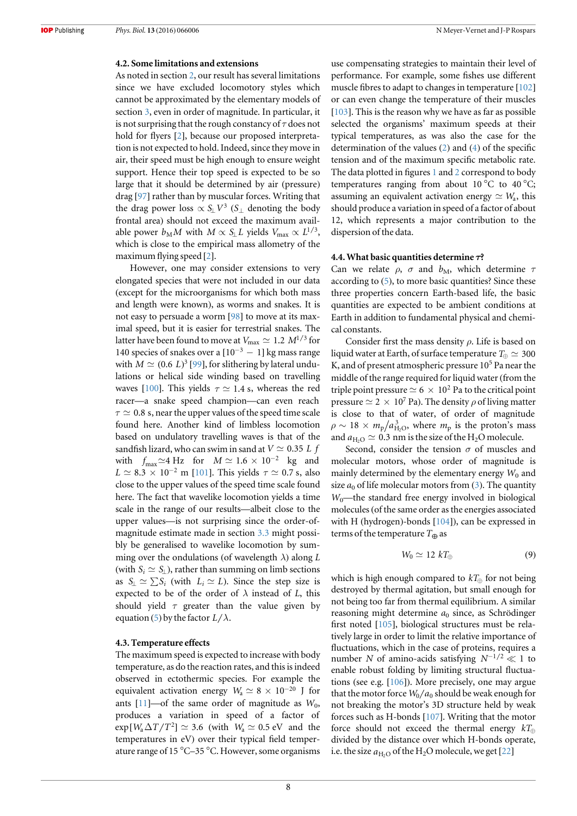## <span id="page-7-1"></span>4.2. Some limitations and extensions

As noted in section [2](#page-1-0), our result has several limitations since we have excluded locomotory styles which cannot be approximated by the elementary models of section [3](#page-3-0), even in order of magnitude. In particular, it is not surprising that the rough constancy of  $\tau$  does not hold for flyers [[2](#page-9-1)], because our proposed interpretation is not expected to hold. Indeed, since they move in air, their speed must be high enough to ensure weight support. Hence their top speed is expected to be so large that it should be determined by air (pressure) drag [[97](#page-11-0)] rather than by muscular forces. Writing that the drag power loss  $\propto S_{\perp} V^3$  (S<sub>⊥</sub> denoting the body frontal area) should not exceed the maximum available power  $b_M M$  with  $M \propto S_{\perp} L$  yields  $V_{\text{max}} \propto L^{1/3}$ , which is close to the empirical mass allometry of the maximum flying speed [[2](#page-9-1)].

However, one may consider extensions to very elongated species that were not included in our data (except for the microorganisms for which both mass and length were known), as worms and snakes. It is not easy to persuade a worm [[98](#page-11-1)] to move at its maximal speed, but it is easier for terrestrial snakes. The latter have been found to move at  $V_{\text{max}} \simeq 1.2 M^{1/3}$  for 140 species of snakes over a  $[10^{-3} - 1]$  kg mass range with  $M \simeq (0.6 \ L)^3$  [[99](#page-11-2)], for slithering by lateral undulations or helical side winding based on travelling waves [[100](#page-11-3)]. This yields  $\tau \simeq 1.4$  s, whereas the red racer—a snake speed champion—can even reach  $\tau \simeq 0.8$  s, near the upper values of the speed time scale found here. Another kind of limbless locomotion based on undulatory travelling waves is that of the sandfish lizard, who can swim in sand at  $V \simeq 0.35$  *L* f with  $f_{\text{max}} \simeq 4 \text{ Hz}$  for  $M \simeq 1.6 \times 10^{-2}$  kg and  $L \approx 8.3 \times 10^{-2}$  m [[101](#page-11-4)]. This yields  $\tau \approx 0.7$  s, also close to the upper values of the speed time scale found here. The fact that wavelike locomotion yields a time scale in the range of our results—albeit close to the upper values—is not surprising since the order-ofmagnitude estimate made in section [3.3](#page-5-5) might possibly be generalised to wavelike locomotion by summing over the ondulations (of wavelength  $\lambda$ ) along L (with  $S_i \simeq S_i$ ), rather than summing on limb sections as  $S_{\perp} \simeq \sum S_i$  (with  $L_i \simeq L$ ). Since the step size is expected to be of the order of  $\lambda$  instead of  $L$ , this should yield  $\tau$  greater than the value given by equation ([5](#page-5-4)) by the factor  $L/\lambda$ .

### <span id="page-7-0"></span>4.3. Temperature effects

The maximum speed is expected to increase with body temperature, as do the reaction rates, and this is indeed observed in ectothermic species. For example the equivalent activation energy  $W_a \simeq 8 \times 10^{-20}$  J for ants  $[11]$  $[11]$  $[11]$ —of the same order of magnitude as  $W_0$ , produces a variation in speed of a factor of  $\exp[W_a \Delta T/T^2] \simeq 3.6$  (with  $W_a \simeq 0.5$  eV and the temperatures in eV) over their typical field temperature range of 15 °C–35 °C. However, some organisms use compensating strategies to maintain their level of performance. For example, some fishes use different muscle fibres to adapt to changes in temperature [[102](#page-11-5)] or can even change the temperature of their muscles [[103](#page-11-6)]. This is the reason why we have as far as possible selected the organisms' maximum speeds at their typical temperatures, as was also the case for the determination of the values ([2](#page-4-3)) and ([4](#page-5-3)) of the specific tension and of the maximum specific metabolic rate. The data plotted in figures [1](#page-2-0) and [2](#page-3-2) correspond to body temperatures ranging from about  $10^{\circ}$ C to  $40^{\circ}$ C; assuming an equivalent activation energy  $\simeq W_a$ , this should produce a variation in speed of a factor of about 12, which represents a major contribution to the dispersion of the data.

## 4.4. What basic quantities determine  $\tau$ ?

Can we relate  $\rho$ ,  $\sigma$  and  $b_M$ , which determine  $\tau$ according to ([5](#page-5-4)), to more basic quantities? Since these three properties concern Earth-based life, the basic quantities are expected to be ambient conditions at Earth in addition to fundamental physical and chemical constants.

Consider first the mass density  $\rho$ . Life is based on liquid water at Earth, of surface temperature  $T_{\text{A}} \simeq 300$ K, and of present atmospheric pressure  $10<sup>5</sup>$  Pa near the middle of the range required for liquid water(from the triple point pressure  $\simeq 6 \times 10^2$  Pa to the critical point pressure  $\simeq 2 \times 10^7$  Pa). The density  $\rho$  of living matter is close to that of water, of order of magnitude  $\rho \sim 18 \times m_{\rm p} / a_{\rm H_2O}^3$ , where  $m_{\rm p}$  is the proton's mass and  $a_{\text{H}_2O} \simeq 0.3$  nm is the size of the H<sub>2</sub>O molecule.

Second, consider the tension  $\sigma$  of muscles and molecular motors, whose order of magnitude is mainly determined by the elementary energy  $W_0$  and size  $a_0$  of life molecular motors from ([3](#page-5-2)). The quantity  $W_0$ —the standard free energy involved in biological molecules (of the same order as the energies associated with H (hydrogen)-bonds [[104](#page-11-7)]), can be expressed in terms of the temperature  $T_{\oplus}$  as

$$
W_0 \simeq 12 \; kT_{\oplus} \tag{9}
$$

<span id="page-7-2"></span>which is high enough compared to  $kT_{\text{A}}$  for not being destroyed by thermal agitation, but small enough for not being too far from thermal equilibrium. A similar reasoning might determine  $a_0$  since, as Schrödinger first noted [[105](#page-11-8)], biological structures must be relatively large in order to limit the relative importance of fluctuations, which in the case of proteins, requires a number *N* of amino-acids satisfying  $N^{-1/2} \ll 1$  to enable robust folding by limiting structural fluctuations (see e.g. [[106](#page-11-9)]). More precisely, one may argue that the motor force  $W_0/a_0$  should be weak enough for not breaking the motor's 3D structure held by weak forces such as H-bonds [[107](#page-11-10)]. Writing that the motor force should not exceed the thermal energy  $kT_{\varphi}$ divided by the distance over which H-bonds operate, i.e. the size  $a_{H<sub>2</sub>O}$  of the H<sub>2</sub>O molecule, we get [[22](#page-9-14)]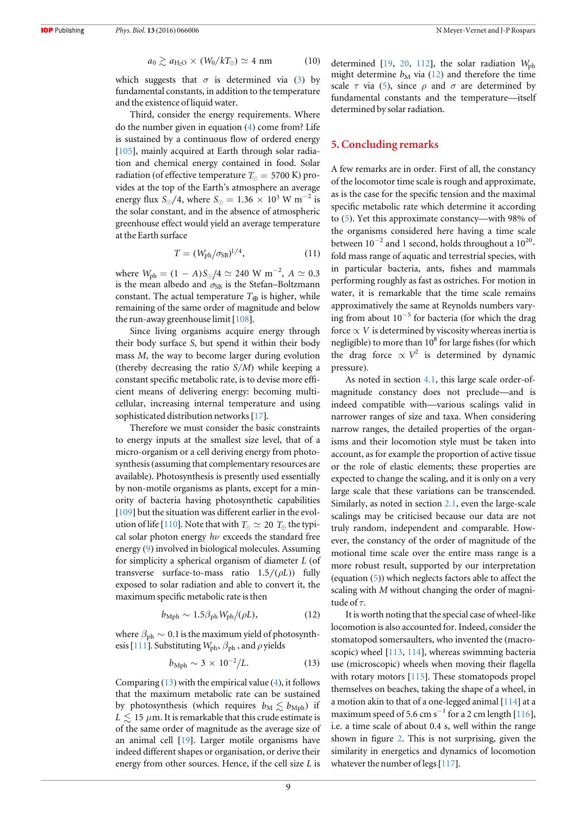$$
a_0 \gtrsim a_{\text{H}_2\text{O}} \times (W_0 / kT_{\oplus}) \simeq 4 \text{ nm}
$$
 (10)

which suggests that  $\sigma$  is determined via ([3](#page-5-2)) by fundamental constants, in addition to the temperature and the existence of liquid water.

Third, consider the energy requirements. Where do the number given in equation ([4](#page-5-3)) come from? Life is sustained by a continuous flow of ordered energy [[105](#page-11-8)], mainly acquired at Earth through solar radiation and chemical energy contained in food. Solar radiation (of effective temperature  $T_{\odot} = 5700 \text{ K}$ ) provides at the top of the Earth's atmosphere an average energy flux  $S_{\odot}$ /4, where  $S_{\odot} = 1.36 \times 10^3$  W m<sup>-2</sup> is the solar constant, and in the absence of atmospheric greenhouse effect would yield an average temperature at the Earth surface

$$
T = (W_{\rm ph}/\sigma_{\rm SB})^{1/4},\tag{11}
$$

where  $W_{\text{ph}} = (1 - A)S_{\odot}/4 \simeq 240 \text{ W m}^{-2}$ ,  $A \simeq 0.3$ is the mean albedo and  $\sigma_{SB}$  is the Stefan-Boltzmann constant. The actual temperature  $T_{\oplus}$  is higher, while remaining of the same order of magnitude and below the run-away greenhouse limit[[108](#page-11-11)].

Since living organisms acquire energy through their body surface S, but spend it within their body mass M, the way to become larger during evolution (thereby decreasing the ratio  $S/M$ ) while keeping a constant specific metabolic rate, is to devise more efficient means of delivering energy: becoming multicellular, increasing internal temperature and using sophisticated distribution networks [[17](#page-9-10)].

Therefore we must consider the basic constraints to energy inputs at the smallest size level, that of a micro-organism or a cell deriving energy from photosynthesis(assuming that complementary resources are available). Photosynthesis is presently used essentially by non-motile organisms as plants, except for a minority of bacteria having photosynthetic capabilities [[109](#page-11-12)] but the situation was different earlier in the evol-ution of life [[110](#page-11-13)]. Note that with  $T_{\odot} \simeq 20$   $T_{\oplus}$  the typical solar photon energy  $h\nu$  exceeds the standard free energy ([9](#page-7-2)) involved in biological molecules. Assuming for simplicity a spherical organism of diameter L (of transverse surface-to-mass ratio  $1.5/(\rho L)$  fully exposed to solar radiation and able to convert it, the maximum specific metabolic rate is then

$$
b_{\rm Mph} \sim 1.5 \beta_{\rm ph} W_{\rm ph}/(\rho L),\tag{12}
$$

<span id="page-8-1"></span><span id="page-8-0"></span>where  $\beta_{ph} \sim 0.1$  is the maximum yield of photosynth-esis [[111](#page-11-14)]. Substituting  $W_{ph}$ ,  $\beta_{ph}$ , and  $\rho$  yields

$$
b_{\rm Mph} \sim 3 \times 10^{-2}/L. \tag{13}
$$

Comparing ([13](#page-8-0)) with the empirical value ([4](#page-5-3)), it follows that the maximum metabolic rate can be sustained by photosynthesis (which requires  $b_M \lesssim b_{Mph}$ ) if  $L \leq 15 \mu m$ . It is remarkable that this crude estimate is of the same order of magnitude as the average size of an animal cell [[19](#page-9-12)]. Larger motile organisms have indeed different shapes or organisation, or derive their energy from other sources. Hence, if the cell size L is determined [[19](#page-9-12), [20](#page-9-13), [112](#page-11-15)], the solar radiation  $W_{\text{ph}}$ might determine  $b_M$  via ([12](#page-8-1)) and therefore the time scale  $\tau$  via ([5](#page-5-4)), since  $\rho$  and  $\sigma$  are determined by fundamental constants and the temperature—itself determined by solar radiation.

# 5. Concluding remarks

A few remarks are in order. First of all, the constancy of the locomotor time scale is rough and approximate, as is the case for the specific tension and the maximal specific metabolic rate which determine it according to ([5](#page-5-4)). Yet this approximate constancy—with 98% of the organisms considered here having a time scale between  $10^{-2}$  and 1 second, holds throughout a  $10^{20}$ fold mass range of aquatic and terrestrial species, with in particular bacteria, ants, fishes and mammals performing roughly as fast as ostriches. For motion in water, it is remarkable that the time scale remains approximatively the same at Reynolds numbers varying from about  $10^{-5}$  for bacteria (for which the drag force  $\propto$  *V* is determined by viscosity whereas inertia is negligible) to more than  $10^8$  for large fishes (for which the drag force  $\propto V^2$  is determined by dynamic pressure).

As noted in section [4.1](#page-6-4), this large scale order-ofmagnitude constancy does not preclude—and is indeed compatible with—various scalings valid in narrower ranges of size and taxa. When considering narrow ranges, the detailed properties of the organisms and their locomotion style must be taken into account, as for example the proportion of active tissue or the role of elastic elements; these properties are expected to change the scaling, and it is only on a very large scale that these variations can be transcended. Similarly, as noted in section [2.1,](#page-1-1) even the large-scale scalings may be criticised because our data are not truly random, independent and comparable. However, the constancy of the order of magnitude of the motional time scale over the entire mass range is a more robust result, supported by our interpretation (equation ([5](#page-5-4))) which neglects factors able to affect the scaling with M without changing the order of magnitude of  $\tau$ .

It is worth noting that the special case of wheel-like locomotion is also accounted for. Indeed, consider the stomatopod somersaulters, who invented the (macroscopic) wheel [[113](#page-11-16), [114](#page-11-17)], whereas swimming bacteria use (microscopic) wheels when moving their flagella with rotary motors [[115](#page-11-18)]. These stomatopods propel themselves on beaches, taking the shape of a wheel, in a motion akin to that of a one-legged animal [[114](#page-11-17)] at a maximum speed of 5.6 cm s<sup>-1</sup> for a 2 cm length [[116](#page-11-19)], i.e. a time scale of about 0.4 s, well within the range shown in figure [2.](#page-3-2) This is not surprising, given the similarity in energetics and dynamics of locomotion whatever the number of legs [[117](#page-11-20)].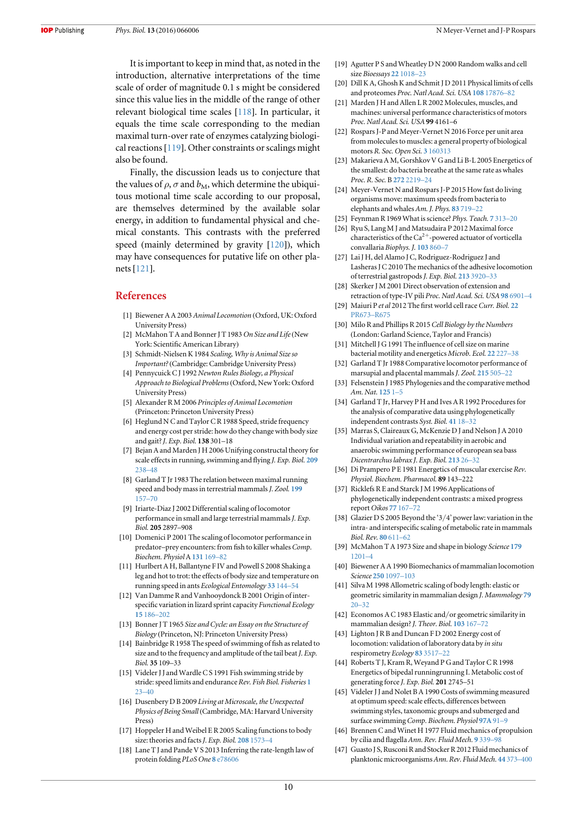It is important to keep in mind that, as noted in the introduction, alternative interpretations of the time scale of order of magnitude 0.1 s might be considered since this value lies in the middle of the range of other relevant biological time scales [[118](#page-11-21)]. In particular, it equals the time scale corresponding to the median maximal turn-over rate of enzymes catalyzing biological reactions[[119](#page-11-22)]. Other constraints or scalings might also be found.

Finally, the discussion leads us to conjecture that the values of  $\rho$ ,  $\sigma$  and  $b_M$ , which determine the ubiquitous motional time scale according to our proposal, are themselves determined by the available solar energy, in addition to fundamental physical and chemical constants. This contrasts with the preferred speed (mainly determined by gravity [[120](#page-11-23)]), which may have consequences for putative life on other planets[[121](#page-11-24)].

# References

- <span id="page-9-0"></span>[1] Biewener A A 2003 Animal Locomotion (Oxford, UK: Oxford University Press)
- <span id="page-9-1"></span>[2] McMahon T A and Bonner J T 1983 On Size and Life (New York: Scientific American Library)
- [3] Schmidt-Nielsen K 1984 Scaling, Why is Animal Size so Important? (Cambridge: Cambridge University Press)
- <span id="page-9-44"></span>[4] Pennycuick CJ 1992 Newton Rules Biology, a Physical Approach to Biological Problems (Oxford, New York: Oxford University Press)
- <span id="page-9-2"></span>[5] Alexander R M 2006 Principles of Animal Locomotion (Princeton: Princeton University Press)
- <span id="page-9-3"></span>[6] Heglund N C and Taylor C R 1988 Speed, stride frequency and energy cost per stride: how do they change with body size and gait?J. Exp. Biol. 138 301–18
- <span id="page-9-4"></span>[7] Bejan A and Marden J H 2006 Unifying constructal theory for scale effects in running, swimming and flying J. Exp. Biol. [209](http://dx.doi.org/10.1242/jeb.01974) [238](http://dx.doi.org/10.1242/jeb.01974)–48
- <span id="page-9-5"></span>[8] Garland T Jr 1983 The relation between maximal running speed and body mass in terrestrial mammals J. Zool. [199](http://dx.doi.org/10.1111/j.1469-7998.1983.tb02087.x) [157](http://dx.doi.org/10.1111/j.1469-7998.1983.tb02087.x)–70
- <span id="page-9-42"></span>[9] Iriarte-Diaz J 2002 Differential scaling of locomotor performance in small and large terrestrial mammals J. Exp. Biol. 205 2897–908
- <span id="page-9-45"></span>[10] Domenici P 2001 The scaling of locomotor performance in predator–prey encounters: from fish to killer whales Comp. Biochem. Physiol A [131](http://dx.doi.org/10.1016/S1095-6433(01)00465-2) 169–82
- <span id="page-9-43"></span>[11] Hurlbert A H, Ballantyne F IV and Powell S 2008 Shaking a leg and hot to trot: the effects of body size and temperature on running speed in ants Ecological Entomology 33 [144](http://dx.doi.org/10.1111/j.1365-2311.2007.00962.x)–54
- <span id="page-9-6"></span>[12] Van Damme R and Vanhooydonck B 2001 Origin of interspecific variation in lizard sprint capacity Functional Ecology 15 [186](http://dx.doi.org/10.1046/j.1365-2435.2001.00513.x)–202
- <span id="page-9-7"></span>[13] Bonner J T 1965 Size and Cycle: an Essay on the Structure of Biology (Princeton, NJ: Princeton University Press)
- <span id="page-9-8"></span>[14] Bainbridge R 1958 The speed of swimming of fish as related to size and to the frequency and amplitude of the tail beat J. Exp. Biol. 35 109–33
- <span id="page-9-26"></span>[15] Videler J J and Wardle C S 1991 Fish swimming stride by stride: speed limits and endurance Rev. Fish Biol. Fisheries [1](http://dx.doi.org/10.1007/BF00042660) [23](http://dx.doi.org/10.1007/BF00042660)–[40](http://dx.doi.org/10.1007/BF00042660)
- <span id="page-9-9"></span>[16] Dusenbery D B 2009 Living at Microscale, the Unexpected Physics of Being Small (Cambridge, MA: Harvard University Press)
- <span id="page-9-10"></span>[17] Hoppeler H and Weibel E R 2005 Scaling functions to body size: theories and facts J. Exp. Biol. 208 [1573](http://dx.doi.org/10.1242/jeb.01630)-4
- <span id="page-9-11"></span>[18] Lane T J and Pande V S 2013 Inferring the rate-length law of protein folding PLoS One 8 [e78606](http://dx.doi.org/10.1371/journal.pone.0078606)
- <span id="page-9-12"></span>[19] Agutter P S and Wheatley D N 2000 Random walks and cell size Bioessays 22 [1018](http://dx.doi.org/10.1002/1521-1878(200011)22:11<1018::AID-BIES8>3.0.CO;2-Y)–23
- <span id="page-9-13"></span>[20] Dill K A, Ghosh K and Schmit J D 2011 Physical limits of cells and proteomes Proc. Natl Acad. Sci. USA 108 [17876](http://dx.doi.org/10.1073/pnas.1114477108)–82
- <span id="page-9-17"></span>[21] Marden J H and Allen L R 2002 Molecules, muscles, and machines: universal performance characteristics of motors Proc. Natl Acad. Sci. USA 99 4161–6
- <span id="page-9-14"></span>[22] Rospars J-P and Meyer-Vernet N 2016 Force per unit area from molecules to muscles: a general property of biological motors R. Soc. Open Sci. 3 [160313](http://dx.doi.org/10.1098/rsos.160313)
- <span id="page-9-15"></span>[23] Makarieva A M, Gorshkov V G and Li B-L 2005 Energetics of the smallest: do bacteria breathe at the same rate as whales Proc. R. Soc. B 272 [2219](http://dx.doi.org/10.1098/rspb.2005.3225)–24
- <span id="page-9-16"></span>[24] Meyer-Vernet N and Rospars J-P 2015 How fast do living organisms move: maximum speeds from bacteria to elephants and whales Am. J. Phys. 83 [719](http://dx.doi.org/10.1119/1.4917310)–22
- <span id="page-9-18"></span>[25] Feynman R 1969 What is science? Phys. Teach. 7 [313](http://dx.doi.org/10.1119/1.2351388)–20
- <span id="page-9-19"></span>[26] Ryu S, Lang M J and Matsudaira P 2012 Maximal force characteristics of the  $Ca^{2+}$ -powered actuator of vorticella convallaria Biophys. J. [103](http://dx.doi.org/10.1016/j.bpj.2012.07.038) 860–7
- <span id="page-9-20"></span>[27] Lai J H, del Alamo J C, Rodriguez-Rodriguez J and Lasheras J C 2010 The mechanics of the adhesive locomotion of terrestrial gastropodsJ. Exp. Biol. 213 [3920](http://dx.doi.org/10.1242/jeb.046706)–33
- <span id="page-9-21"></span>[28] Skerker J M 2001 Direct observation of extension and retraction of type-IV pili Proc. Natl Acad. Sci. USA 98 [6901](http://dx.doi.org/10.1073/pnas.121171698)–4
- <span id="page-9-22"></span>[29] Maiuri P et al 2012 The first world cell race Curr. Biol. [22](http://dx.doi.org/10.1016/j.cub.2012.07.052) [PR673](http://dx.doi.org/10.1016/j.cub.2012.07.052)–R675
- <span id="page-9-23"></span>[30] Milo R and Phillips R 2015 Cell Biology by the Numbers (London: Garland Science, Taylor and Francis)
- <span id="page-9-24"></span>[31] Mitchell J G 1991 The influence of cell size on marine bacterial motility and energetics Microb. Ecol. 22 [227](http://dx.doi.org/10.1007/BF02540225)–38
- <span id="page-9-25"></span>[32] Garland T Jr 1988 Comparative locomotor performance of marsupial and placental mammals *J. Zool.* [215](http://dx.doi.org/10.1111/j.1469-7998.1988.tb02856.x) 505-22
- <span id="page-9-29"></span>[33] Felsenstein J 1985 Phylogenies and the comparative method Am. Nat. [125](http://dx.doi.org/10.1086/284325) 1–5
- <span id="page-9-30"></span>[34] Garland T Jr, Harvey P H and Ives A R 1992 Procedures for the analysis of comparative data using phylogenetically independent contrasts Syst. Biol. [41](http://dx.doi.org/10.1093/sysbio/41.1.18) 18–32
- <span id="page-9-27"></span>[35] Marras S, Claireaux G, McKenzie D J and Nelson J A 2010 Individual variation and repeatability in aerobic and anaerobic swimming performance of european sea bass Dicentrarchus labrax J. Exp. Biol. [213](http://dx.doi.org/10.1242/jeb.032136) 26–32
- <span id="page-9-28"></span>[36] Di Prampero P E 1981 Energetics of muscular exercise Rev. Physiol. Biochem. Pharmacol. 89 143–222
- <span id="page-9-31"></span>[37] Ricklefs R E and Starck J M 1996 Applications of phylogenetically independent contrasts: a mixed progress report Oikos 77 [167](http://dx.doi.org/10.2307/3545598)–72
- <span id="page-9-32"></span>[38] Glazier D S 2005 Beyond the '3/4' power law: variation in the intra- and interspecific scaling of metabolic rate in mammals Biol. Rev. 80 [611](http://dx.doi.org/10.1017/S1464793105006834)–62
- <span id="page-9-33"></span>[39] McMahon T A 1973 Size and shape in biology Science [179](http://dx.doi.org/10.1126/science.179.4079.1201) [1201](http://dx.doi.org/10.1126/science.179.4079.1201)–4
- <span id="page-9-34"></span>[40] Biewener A A 1990 Biomechanics of mammalian locomotion Science 250 [1097](http://dx.doi.org/10.1126/science.2251499)–103
- <span id="page-9-35"></span>[41] Silva M 1998 Allometric scaling of body length: elastic or geometric similarity in mammalian design J. Mammology [79](http://dx.doi.org/10.2307/1382839) [20](http://dx.doi.org/10.2307/1382839)–32
- <span id="page-9-36"></span>[42] Economos A C 1983 Elastic and/or geometric similarity in mammalian design? *J. Theor. Biol.* [103](http://dx.doi.org/10.1016/0022-5193(83)90206-0) 167-72
- <span id="page-9-37"></span>[43] Lighton J R B and Duncan F D 2002 Energy cost of locomotion: validation of laboratory data by in situ respirometry Ecology 83 [3517](http://dx.doi.org/10.1890/0012-9658(2002)083[3517:ECOLVO]2.0.CO;2)–22
- <span id="page-9-38"></span>[44] Roberts T J, Kram R, Weyand P G and Taylor C R 1998 Energetics of bipedal runningrunning I. Metabolic cost of generating force J. Exp. Biol. 201 2745–51
- <span id="page-9-39"></span>[45] Videler J J and Nolet B A 1990 Costs of swimming measured at optimum speed: scale effects, differences between swimming styles, taxonomic groups and submerged and surface swimming Comp. Biochem. Physiol [97A](http://dx.doi.org/10.1016/0300-9629(90)90155-L) 91-9
- <span id="page-9-40"></span>[46] Brennen C and Winet H 1977 Fluid mechanics of propulsion by cilia and flagella Ann. Rev. Fluid Mech. 9 [339](http://dx.doi.org/10.1146/annurev.fl.09.010177.002011)–98
- <span id="page-9-41"></span>[47] Guasto J S, Rusconi R and Stocker R 2012 Fluid mechanics of planktonic microorganisms Ann. Rev. Fluid Mech. 44 [373](http://dx.doi.org/10.1146/annurev-fluid-120710-101156)-400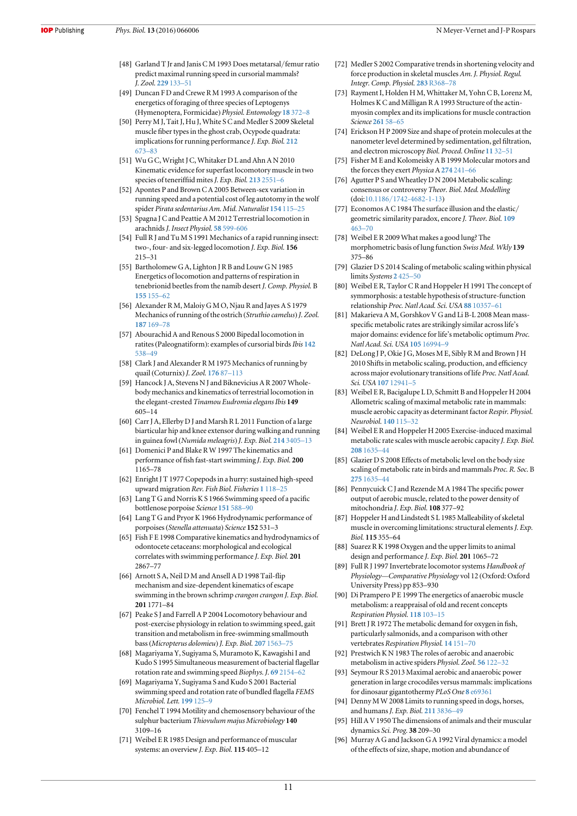- <span id="page-10-0"></span>[48] Garland T Jr and Janis C M 1993 Does metatarsal/femur ratio predict maximal running speed in cursorial mammals? J. Zool. [229](http://dx.doi.org/10.1111/j.1469-7998.1993.tb02626.x) 133–51
- <span id="page-10-1"></span>[49] Duncan F D and Crewe R M 1993 A comparison of the energetics of foraging of three species of Leptogenys (Hymenoptera, Formicidae) Physiol. Entomology 18 [372](http://dx.doi.org/10.1111/j.1365-3032.1993.tb00610.x)–8
- <span id="page-10-2"></span>[50] Perry M J, Tait J, Hu J, White S C and Medler S 2009 Skeletal muscle fiber types in the ghost crab, Ocypode quadrata: implications for running performance J. Exp. Biol. [212](http://dx.doi.org/10.1242/jeb.023481) [673](http://dx.doi.org/10.1242/jeb.023481)–83
- <span id="page-10-3"></span>[51] Wu G C, Wright J C, Whitaker D L and Ahn A N 2010 Kinematic evidence for superfast locomotory muscle in two species of teneriffiid mites *J. Exp. Biol.* 213 [2551](http://dx.doi.org/10.1242/jeb.024463)-6
- <span id="page-10-4"></span>[52] Apontes P and Brown C A 2005 Between-sex variation in running speed and a potential cost of leg autotomy in the wolf spider Pirata sedentarius Am. Mid. Naturalist [154](http://dx.doi.org/10.1674/0003-0031(2005)154[0115:BVIRSA]2.0.CO;2) 115–25
- <span id="page-10-5"></span>[53] Spagna J C and Peattie A M 2012 Terrestrial locomotion in arachnids J. Insect Physiol. 58 [599-606](http://dx.doi.org/10.1016/j.jinsphys.2012.01.019)
- <span id="page-10-6"></span>[54] Full R J and Tu M S 1991 Mechanics of a rapid running insect: two-, four- and six-legged locomotion J. Exp. Biol. 156 215–31
- <span id="page-10-7"></span>[55] Bartholomew G A, Lighton J R B and Louw G N 1985 Energetics of locomotion and patterns of respiration in tenebrionid beetles from the namib desert J. Comp. Physiol. B [155](http://dx.doi.org/10.1007/BF00685208) 155–62
- <span id="page-10-8"></span>[56] Alexander R M, Maloiy G M O, Njau R and Jayes A S 1979 Mechanics of running of the ostrich (Struthio camelus) J. Zool. [187](http://dx.doi.org/10.1111/j.1469-7998.1979.tb03941.x) 169–78
- [57] Abourachid A and Renous S 2000 Bipedal locomotion in ratites (Paleognatiform): examples of cursorial birds Ibis [142](http://dx.doi.org/10.1111/j.1474-919X.2000.tb04455.x) [538](http://dx.doi.org/10.1111/j.1474-919X.2000.tb04455.x)–49
- [58] Clark J and Alexander R M 1975 Mechanics of running by quail (Coturnix) J. Zool. [176](http://dx.doi.org/10.1111/j.1469-7998.1975.tb03189.x) 87–113
- [59] Hancock J A, Stevens N J and Biknevicius A R 2007 Wholebody mechanics and kinematics of terrestrial locomotion in the elegant-crested Tinamou Eudromia elegans Ibis 149 605–14
- <span id="page-10-9"></span>[60] Carr J A, Ellerby D J and Marsh R L 2011 Function of a large biarticular hip and knee extensor during walking and running in guinea fowl(Numida meleagris) J. Exp. Biol. 214 [3405](http://dx.doi.org/10.1242/jeb.060335)–13
- <span id="page-10-10"></span>[61] Domenici P and Blake R W 1997 The kinematics and performance of fish fast-start swimming J. Exp. Biol. 200 1165–78
- [62] Enright JT 1977 Copepods in a hurry: sustained high-speed upward migration Rev. Fish Biol. Fisheries 1 [118](http://dx.doi.org/10.4319/lo.1977.22.1.0118)–25
- [63] Lang T G and Norris K S 1966 Swimming speed of a pacific bottlenose porpoise Science [151](http://dx.doi.org/10.1126/science.151.3710.588) 588–90
- [64] Lang T G and Pryor K 1966 Hydrodynamic performance of porpoises(Stenella attenuata) Science 152 531–3
- [65] Fish F E 1998 Comparative kinematics and hydrodynamics of odontocete cetaceans: morphological and ecological correlates with swimming performance J. Exp. Biol. 201 2867–77
- [66] Arnott S A, Neil D M and Ansell A D 1998 Tail-flip mechanism and size-dependent kinematics of escape swimming in the brown schrimp crangon crangon J. Exp. Biol. 201 1771–84
- <span id="page-10-11"></span>[67] Peake S J and Farrell A P 2004 Locomotory behaviour and post-exercise physiology in relation to swimming speed, gait transition and metabolism in free-swimming smallmouth bass(Micropterus dolomieu) J. Exp. Biol. 207 [1563](http://dx.doi.org/10.1242/jeb.00927)–75
- <span id="page-10-12"></span>[68] Magariyama Y, Sugiyama S, Muramoto K, Kawagishi I and Kudo S 1995 Simultaneous measurement of bacterial flagellar rotation rate and swimming speed Biophys. J. 69 [2154](http://dx.doi.org/10.1016/S0006-3495(95)80089-5)–62
- [69] Magariyama Y, Sugiyama S and Kudo S 2001 Bacterial swimming speed and rotation rate of bundled flagella FEMS Microbiol. Lett. [199](http://dx.doi.org/10.1111/j.1574-6968.2001.tb10662.x) 125–9
- <span id="page-10-13"></span>[70] Fenchel T 1994 Motility and chemosensory behaviour of the sulphur bacterium Thiovulum majus Microbiology 140 3109–16
- <span id="page-10-14"></span>[71] Weibel E R 1985 Design and performance of muscular systems: an overview J. Exp. Biol. 115 405-12
- <span id="page-10-15"></span>[72] Medler S 2002 Comparative trends in shortening velocity and force production in skeletal muscles Am. J. Physiol. Regul. Integr. Comp. Physiol. 283 [R368](http://dx.doi.org/10.1152/ajpregu.00689.2001)–78
- <span id="page-10-16"></span>[73] Rayment I, Holden H M, Whittaker M, Yohn C B, Lorenz M, Holmes K C and Milligan R A 1993 Structure of the actinmyosin complex and its implications for muscle contraction Science [261](http://dx.doi.org/10.1126/science.8316858) 58–65
- <span id="page-10-17"></span>[74] Erickson H P 2009 Size and shape of protein molecules at the nanometer level determined by sedimentation, gel filtration, and electron microscopy Biol. Proced. Online [11](http://dx.doi.org/10.1007/s12575-009-9008-x) 32–51
- <span id="page-10-18"></span>[75] Fisher M E and Kolomeisky A B 1999 Molecular motors and the forces they exert Physica A [274](http://dx.doi.org/10.1016/S0378-4371(99)00389-1) 241–66
- <span id="page-10-19"></span>[76] Agutter P S and Wheatley D N 2004 Metabolic scaling: consensus or controversy Theor. Biol. Med. Modelling (doi:10.1186/[1742-4682-1-13](http://dx.doi.org/10.1186/1742-4682-1-13))
- <span id="page-10-20"></span>[77] Economos A C 1984 The surface illusion and the elastic/ geometric similarity paradox, encore J. Theor. Biol. [109](http://dx.doi.org/10.1016/S0022-5193(84)80094-6) [463](http://dx.doi.org/10.1016/S0022-5193(84)80094-6)–70
- <span id="page-10-21"></span>[78] Weibel E R 2009 What makes a good lung? The morphometric basis of lung function Swiss Med. Wkly 139 375–86
- <span id="page-10-22"></span>[79] Glazier D S 2014 Scaling of metabolic scaling within physical limits Systems 2 [425](http://dx.doi.org/10.3390/systems2040425)–50
- <span id="page-10-23"></span>[80] Weibel E R, Taylor C R and Hoppeler H 1991 The concept of symmorphosis: a testable hypothesis of structure-function relationship Proc. Natl Acad. Sci. USA 88 [10357](http://dx.doi.org/10.1073/pnas.88.22.10357)–61
- <span id="page-10-25"></span>[81] Makarieva A M, Gorshkov V G and Li B-L 2008 Mean massspecific metabolic rates are strikingly similar across life's major domains: evidence for life's metabolic optimum Proc. Natl Acad. Sci. USA 105 [16994](http://dx.doi.org/10.1073/pnas.0802148105)–9
- <span id="page-10-24"></span>[82] DeLong J P, Okie J G, Moses M E, Sibly R M and Brown J H 2010 Shifts in metabolic scaling, production, and efficiency across major evolutionary transitions of life Proc. Natl Acad. Sci. USA 107 [12941](http://dx.doi.org/10.1073/pnas.1007783107)–5
- <span id="page-10-27"></span>[83] Weibel E R, Bacigalupe L D, Schmitt B and Hoppeler H 2004 Allometric scaling of maximal metabolic rate in mammals: muscle aerobic capacity as determinant factor Respir. Physiol. Neurobiol. [140](http://dx.doi.org/10.1016/j.resp.2004.01.006) 115–32
- <span id="page-10-26"></span>[84] Weibel E R and Hoppeler H 2005 Exercise-induced maximal metabolic rate scales with muscle aerobic capacity J. Exp. Biol. 208 [1635](http://dx.doi.org/10.1242/jeb.01548)–44
- <span id="page-10-28"></span>[85] Glazier D S 2008 Effects of metabolic level on the body size scaling of metabolic rate in birds and mammals Proc. R. Soc. B 275 [1635](http://dx.doi.org/10.1098/rspb.2008.0118)–44
- <span id="page-10-29"></span>[86] Pennycuick C J and Rezende M A 1984 The specific power output of aerobic muscle, related to the power density of mitochondria J. Exp. Biol. 108 377–92
- [87] Hoppeler H and Lindstedt S L 1985 Malleability of skeletal muscle in overcoming limitations: structural elements *J. Exp.* Biol. 115 355–64
- <span id="page-10-30"></span>[88] Suarez R K 1998 Oxygen and the upper limits to animal design and performance J. Exp. Biol. 201 1065–72
- <span id="page-10-31"></span>[89] Full R J 1997 Invertebrate locomotor systems Handbook of Physiology—Comparative Physiology vol 12 (Oxford: Oxford University Press) pp 853–930
- <span id="page-10-32"></span>[90] Di Prampero P E 1999 The energetics of anaerobic muscle metabolism: a reappraisal of old and recent concepts Respiration Physiol. [118](http://dx.doi.org/10.1016/S0034-5687(99)00083-3) 103–15
- <span id="page-10-33"></span>[91] Brett J R 1972 The metabolic demand for oxygen in fish, particularly salmonids, and a comparison with other vertebrates Respiration Physiol. 14 [151](http://dx.doi.org/10.1016/0034-5687(72)90025-4)–70
- [92] Prestwich K N 1983 The roles of aerobic and anaerobic metabolism in active spiders Physiol. Zool. 56 [122](http://dx.doi.org/10.1086/physzool.56.1.30159973)–32
- <span id="page-10-34"></span>[93] Seymour R S 2013 Maximal aerobic and anaerobic power generation in large crocodiles versus mammals: implications for dinosaur gigantothermy PLoS One 8 [e69361](http://dx.doi.org/10.1371/journal.pone.0069361)
- <span id="page-10-35"></span>[94] Denny M W 2008 Limits to running speed in dogs, horses, and humans *J. Exp. Biol.* 211 [3836](http://dx.doi.org/10.1242/jeb.024968)-49
- <span id="page-10-36"></span>[95] Hill A V 1950 The dimensions of animals and their muscular dynamics Sci. Prog. 38 209–30
- <span id="page-10-37"></span>[96] Murray A G and Jackson G A 1992 Viral dynamics: a model of the effects of size, shape, motion and abundance of